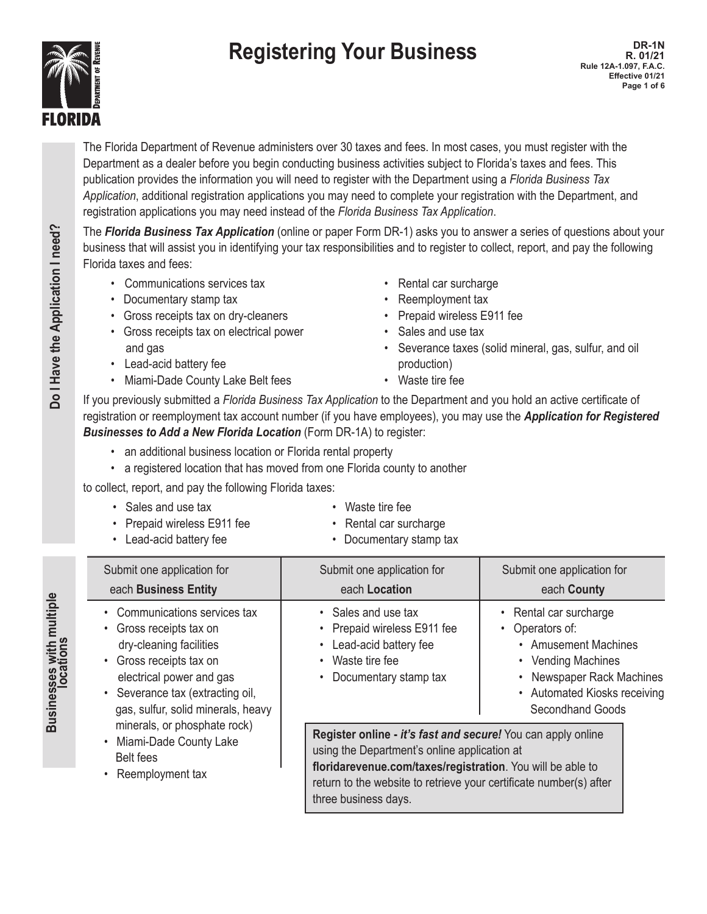# **Registering Your Business DR-1N R. 01/21**



The Florida Department of Revenue administers over 30 taxes and fees. In most cases, you must register with the Department as a dealer before you begin conducting business activities subject to Florida's taxes and fees. This publication provides the information you will need to register with the Department using a *Florida Business Tax Application*, additional registration applications you may need to complete your registration with the Department, and registration applications you may need instead of the *Florida Business Tax Application*.

The *Florida Business Tax Application* (online or paper Form DR-1) asks you to answer a series of questions about your business that will assist you in identifying your tax responsibilities and to register to collect, report, and pay the following Florida taxes and fees:

- Communications services tax **•** Rental car surcharge
- Documentary stamp tax **•** Reemployment tax
- Gross receipts tax on dry-cleaners Prepaid wireless E911 fee
- Gross receipts tax on electrical power Sales and use tax
- Lead-acid battery fee **production**)
- Miami-Dade County Lake Belt fees Waste tire fee
- 
- 
- 
- 
- and gas  **Severance taxes (solid mineral, gas, sulfur, and oil Severance taxes (solid mineral, gas, sulfur, and oil**

**R. 01/21**

**Rule 12A-1.097, F.A.C. Effective 01/21 Page 1 of 6**

If you previously submitted a *Florida Business Tax Application* to the Department and you hold an active certificate of registration or reemployment tax account number (if you have employees), you may use the *Application for Registered Businesses to Add a New Florida Location* (Form DR-1A) to register:

- an additional business location or Florida rental property
- a registered location that has moved from one Florida county to another

to collect, report, and pay the following Florida taxes:

- Sales and use tax  **Waste tire fee**
- Prepaid wireless E911 fee **•** Rental car surcharge
- 
- 
- 
- Lead-acid battery fee **•** Documentary stamp tax

| Submit one application for<br>each Business Entity                                                                                                                                                                                                                                                                         | Submit one application for<br>each Location                                                                                                                                                                                                             | Submit one application for<br>each County                                                                                                                                       |  |
|----------------------------------------------------------------------------------------------------------------------------------------------------------------------------------------------------------------------------------------------------------------------------------------------------------------------------|---------------------------------------------------------------------------------------------------------------------------------------------------------------------------------------------------------------------------------------------------------|---------------------------------------------------------------------------------------------------------------------------------------------------------------------------------|--|
| • Communications services tax<br>• Gross receipts tax on<br>dry-cleaning facilities<br>• Gross receipts tax on<br>electrical power and gas<br>• Severance tax (extracting oil,<br>gas, sulfur, solid minerals, heavy<br>minerals, or phosphate rock)<br>• Miami-Dade County Lake<br><b>Belt fees</b><br>• Reemployment tax | • Sales and use tax<br>Prepaid wireless E911 fee<br>Lead-acid battery fee<br>Waste tire fee<br>Documentary stamp tax                                                                                                                                    | Rental car surcharge<br>Operators of:<br>• Amusement Machines<br>• Vending Machines<br>Newspaper Rack Machines<br>$\bullet$<br>• Automated Kiosks receiving<br>Secondhand Goods |  |
|                                                                                                                                                                                                                                                                                                                            | <b>Register online - it's fast and secure!</b> You can apply online<br>using the Department's online application at<br>floridarevenue.com/taxes/registration. You will be able to<br>return to the website to retrieve your certificate number(s) after |                                                                                                                                                                                 |  |

three business days.

Businesses with multiple **Businesses with multiple locations**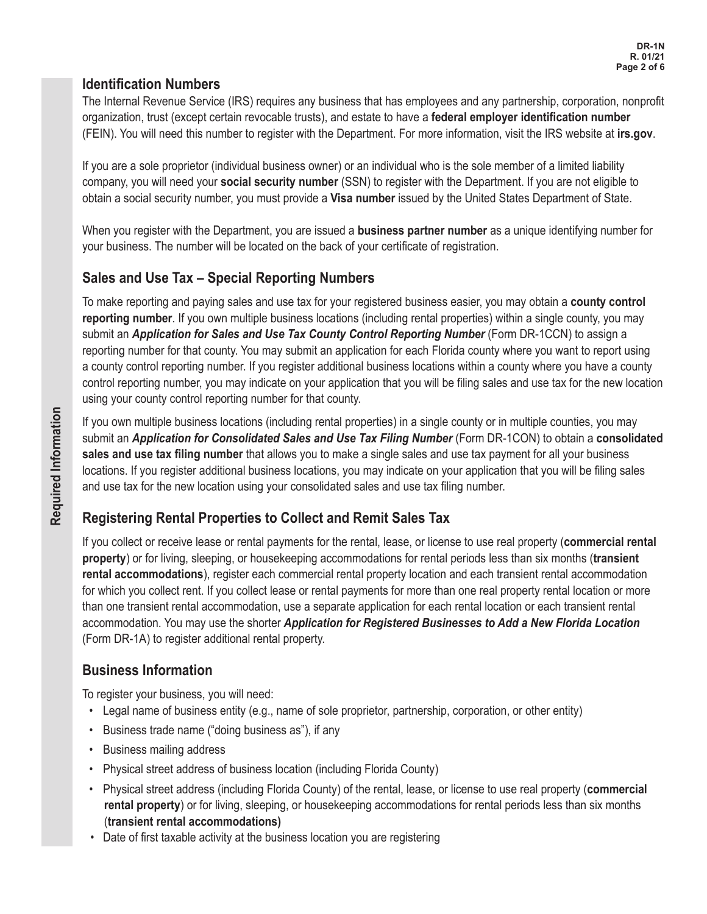### **Identification Numbers**

The Internal Revenue Service (IRS) requires any business that has employees and any partnership, corporation, nonprofit organization, trust (except certain revocable trusts), and estate to have a **federal employer identification number** (FEIN). You will need this number to register with the Department. For more information, visit the IRS website at **irs.gov**.

If you are a sole proprietor (individual business owner) or an individual who is the sole member of a limited liability company, you will need your **social security number** (SSN) to register with the Department. If you are not eligible to obtain a social security number, you must provide a **Visa number** issued by the United States Department of State.

When you register with the Department, you are issued a **business partner number** as a unique identifying number for your business. The number will be located on the back of your certificate of registration.

## **Sales and Use Tax – Special Reporting Numbers**

To make reporting and paying sales and use tax for your registered business easier, you may obtain a **county control reporting number**. If you own multiple business locations (including rental properties) within a single county, you may submit an *Application for Sales and Use Tax County Control Reporting Number* (Form DR-1CCN) to assign a reporting number for that county. You may submit an application for each Florida county where you want to report using a county control reporting number. If you register additional business locations within a county where you have a county control reporting number, you may indicate on your application that you will be filing sales and use tax for the new location using your county control reporting number for that county.

If you own multiple business locations (including rental properties) in a single county or in multiple counties, you may submit an *Application for Consolidated Sales and Use Tax Filing Number* (Form DR-1CON) to obtain a **consolidated sales and use tax filing number** that allows you to make a single sales and use tax payment for all your business locations. If you register additional business locations, you may indicate on your application that you will be filing sales and use tax for the new location using your consolidated sales and use tax filing number.

## **Registering Rental Properties to Collect and Remit Sales Tax**

If you collect or receive lease or rental payments for the rental, lease, or license to use real property (**commercial rental property**) or for living, sleeping, or housekeeping accommodations for rental periods less than six months (**transient rental accommodations**), register each commercial rental property location and each transient rental accommodation for which you collect rent. If you collect lease or rental payments for more than one real property rental location or more than one transient rental accommodation, use a separate application for each rental location or each transient rental accommodation. You may use the shorter *Application for Registered Businesses to Add a New Florida Location* (Form DR-1A) to register additional rental property.

## **Business Information**

To register your business, you will need:

- Legal name of business entity (e.g., name of sole proprietor, partnership, corporation, or other entity)
- • Business trade name ("doing business as"), if any
- • Business mailing address
- Physical street address of business location (including Florida County)
- • Physical street address (including Florida County) of the rental, lease, or license to use real property (**commercial rental property**) or for living, sleeping, or housekeeping accommodations for rental periods less than six months (**transient rental accommodations)**
- Date of first taxable activity at the business location you are registering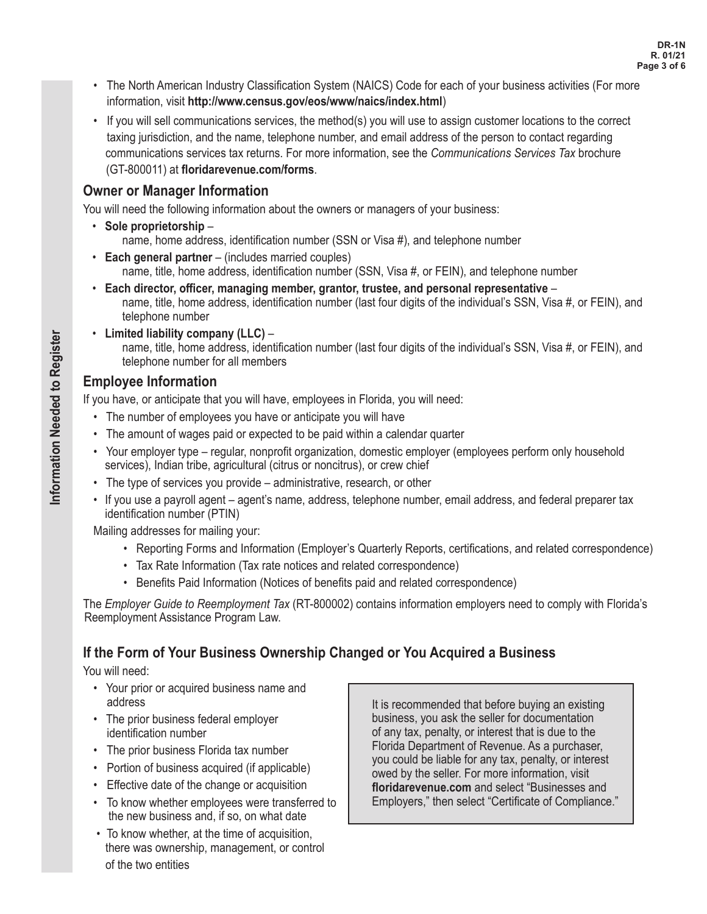- • The North American Industry Classification System (NAICS) Code for each of your business activities (For more information, visit **http://www.census.gov/eos/www/naics/index.html**)
- • If you will sell communications services, the method(s) you will use to assign customer locations to the correct taxing jurisdiction, and the name, telephone number, and email address of the person to contact regarding communications services tax returns. For more information, see the *Communications Services Tax* brochure (GT-800011) at **floridarevenue.com/forms**.

#### **Owner or Manager Information**

You will need the following information about the owners or managers of your business:

- • **Sole proprietorship** name, home address, identification number (SSN or Visa #), and telephone number
- • **Each general partner** (includes married couples) name, title, home address, identification number (SSN, Visa #, or FEIN), and telephone number
- • **Each director, officer, managing member, grantor, trustee, and personal representative** name, title, home address, identification number (last four digits of the individual's SSN, Visa #, or FEIN), and telephone number
- • **Limited liability company (LLC)** name, title, home address, identification number (last four digits of the individual's SSN, Visa #, or FEIN), and telephone number for all members

#### **Employee Information**

If you have, or anticipate that you will have, employees in Florida, you will need:

- The number of employees you have or anticipate you will have
- The amount of wages paid or expected to be paid within a calendar quarter
- Your employer type regular, nonprofit organization, domestic employer (employees perform only household services), Indian tribe, agricultural (citrus or noncitrus), or crew chief
- The type of services you provide administrative, research, or other
- If you use a payroll agent agent's name, address, telephone number, email address, and federal preparer tax identification number (PTIN)

Mailing addresses for mailing your:

- Reporting Forms and Information (Employer's Quarterly Reports, certifications, and related correspondence)
- Tax Rate Information (Tax rate notices and related correspondence)
- Benefits Paid Information (Notices of benefits paid and related correspondence)

The *Employer Guide to Reemployment Tax* (RT-800002) contains information employers need to comply with Florida's Reemployment Assistance Program Law.

## **If the Form of Your Business Ownership Changed or You Acquired a Business**

You will need:

- Your prior or acquired business name and address
- The prior business federal employer identification number
- • The prior business Florida tax number
- Portion of business acquired (if applicable)
- • Effective date of the change or acquisition
- • To know whether employees were transferred to the new business and, if so, on what date
- To know whether, at the time of acquisition, there was ownership, management, or control of the two entities

It is recommended that before buying an existing business, you ask the seller for documentation of any tax, penalty, or interest that is due to the Florida Department of Revenue. As a purchaser, you could be liable for any tax, penalty, or interest owed by the seller. For more information, visit **floridarevenue.com** and select "Businesses and Employers," then select "Certificate of Compliance."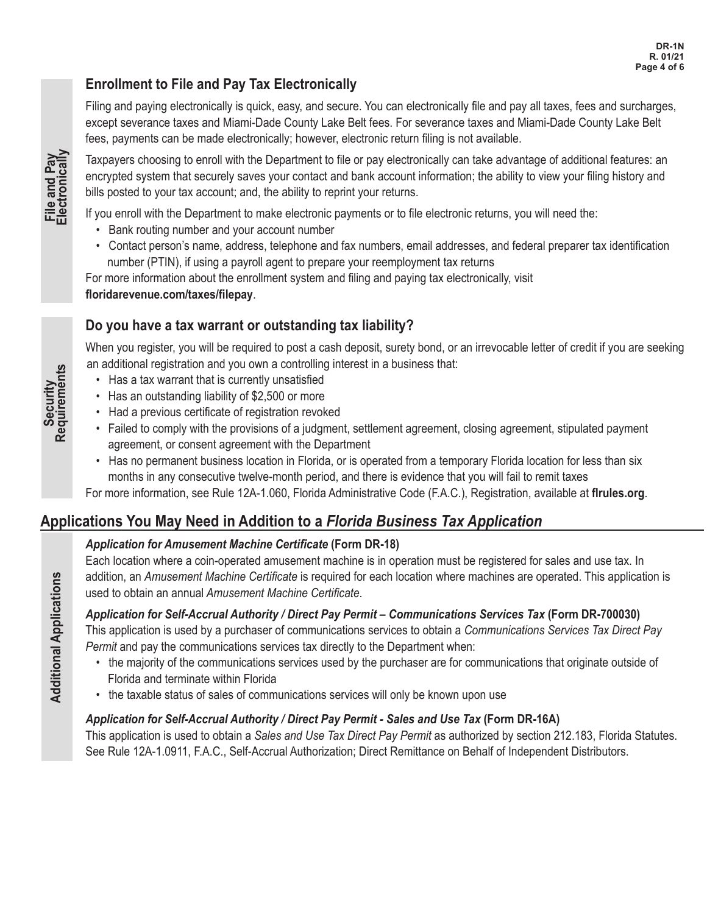## **Enrollment to File and Pay Tax Electronically**

Filing and paying electronically is quick, easy, and secure. You can electronically file and pay all taxes, fees and surcharges, except severance taxes and Miami-Dade County Lake Belt fees. For severance taxes and Miami-Dade County Lake Belt fees, payments can be made electronically; however, electronic return filing is not available.

Taxpayers choosing to enroll with the Department to file or pay electronically can take advantage of additional features: an encrypted system that securely saves your contact and bank account information; the ability to view your filing history and bills posted to your tax account; and, the ability to reprint your returns.

If you enroll with the Department to make electronic payments or to file electronic returns, you will need the:

- Bank routing number and your account number
- Contact person's name, address, telephone and fax numbers, email addresses, and federal preparer tax identification number (PTIN), if using a payroll agent to prepare your reemployment tax returns

For more information about the enrollment system and filing and paying tax electronically, visit **floridarevenue.com/taxes/filepay**.

## **Do you have a tax warrant or outstanding tax liability?**

When you register, you will be required to post a cash deposit, surety bond, or an irrevocable letter of credit if you are seeking an additional registration and you own a controlling interest in a business that:

- Has a tax warrant that is currently unsatisfied
- Has an outstanding liability of \$2,500 or more
- Had a previous certificate of registration revoked
- • Failed to comply with the provisions of a judgment, settlement agreement, closing agreement, stipulated payment agreement, or consent agreement with the Department
- Has no permanent business location in Florida, or is operated from a temporary Florida location for less than six months in any consecutive twelve-month period, and there is evidence that you will fail to remit taxes

For more information, see Rule 12A-1.060, Florida Administrative Code (F.A.C.), Registration, available at **flrules.org**.

## **Applications You May Need in Addition to a** *Florida Business Tax Application*

#### *Application for Amusement Machine Certificate* **(Form DR-18)**

Each location where a coin-operated amusement machine is in operation must be registered for sales and use tax. In addition, an *Amusement Machine Certificate* is required for each location where machines are operated. This application is used to obtain an annual *Amusement Machine Certificate*.

#### *Application for Self-Accrual Authority / Direct Pay Permit – Communications Services Tax* **(Form DR-700030)**

This application is used by a purchaser of communications services to obtain a *Communications Services Tax Direct Pay Permit* and pay the communications services tax directly to the Department when:

- the majority of the communications services used by the purchaser are for communications that originate outside of Florida and terminate within Florida
- the taxable status of sales of communications services will only be known upon use

## *Application for Self-Accrual Authority / Direct Pay Permit - Sales and Use Tax* **(Form DR-16A)**

This application is used to obtain a *Sales and Use Tax Direct Pay Permit* as authorized by section 212.183, Florida Statutes. See Rule 12A-1.0911, F.A.C., Self-Accrual Authorization; Direct Remittance on Behalf of Independent Distributors.

**Security Requirements**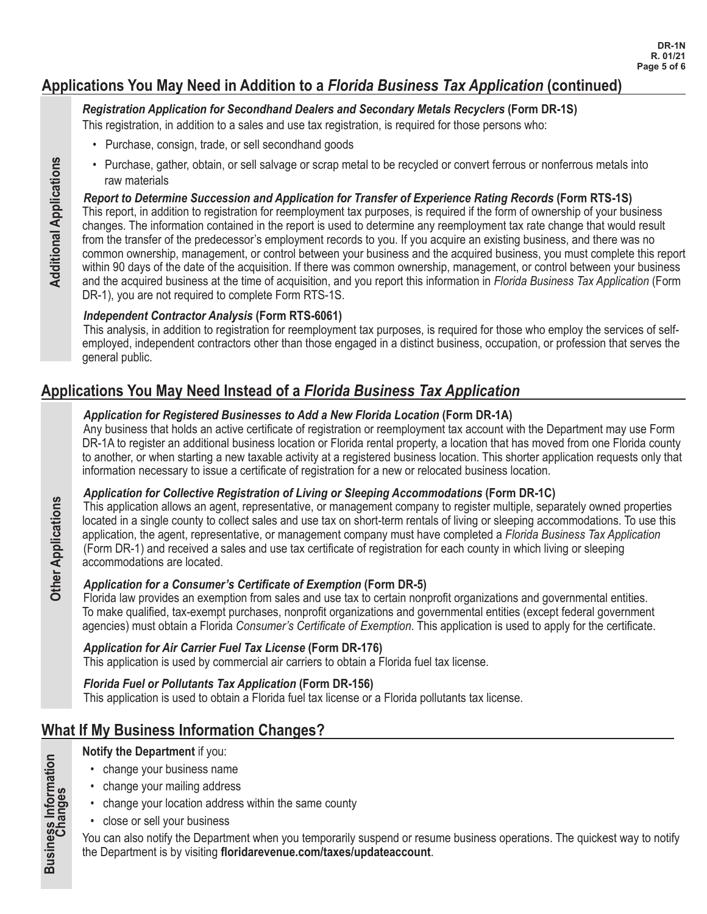## **Applications You May Need in Addition to a** *Florida Business Tax Application* **(continued)**

#### *Registration Application for Secondhand Dealers and Secondary Metals Recyclers* **(Form DR-1S)**

This registration, in addition to a sales and use tax registration, is required for those persons who:

- Purchase, consign, trade, or sell secondhand goods
- Purchase, gather, obtain, or sell salvage or scrap metal to be recycled or convert ferrous or nonferrous metals into raw materials

#### *Report to Determine Succession and Application for Transfer of Experience Rating Records* **(Form RTS-1S)**

This report, in addition to registration for reemployment tax purposes, is required if the form of ownership of your business changes. The information contained in the report is used to determine any reemployment tax rate change that would result from the transfer of the predecessor's employment records to you. If you acquire an existing business, and there was no common ownership, management, or control between your business and the acquired business, you must complete this report within 90 days of the date of the acquisition. If there was common ownership, management, or control between your business and the acquired business at the time of acquisition, and you report this information in *Florida Business Tax Application* (Form DR-1), you are not required to complete Form RTS-1S.

#### *Independent Contractor Analysis* **(Form RTS-6061)**

This analysis, in addition to registration for reemployment tax purposes, is required for those who employ the services of selfemployed, independent contractors other than those engaged in a distinct business, occupation, or profession that serves the general public.

## **Applications You May Need Instead of a** *Florida Business Tax Application*

#### *Application for Registered Businesses to Add a New Florida Location* **(Form DR-1A)**

Any business that holds an active certificate of registration or reemployment tax account with the Department may use Form DR-1A to register an additional business location or Florida rental property, a location that has moved from one Florida county to another, or when starting a new taxable activity at a registered business location. This shorter application requests only that information necessary to issue a certificate of registration for a new or relocated business location.

#### *Application for Collective Registration of Living or Sleeping Accommodations* **(Form DR-1C)**

This application allows an agent, representative, or management company to register multiple, separately owned properties located in a single county to collect sales and use tax on short-term rentals of living or sleeping accommodations. To use this application, the agent, representative, or management company must have completed a *Florida Business Tax Application* (Form DR-1) and received a sales and use tax certificate of registration for each county in which living or sleeping accommodations are located.

#### *Application for a Consumer's Certificate of Exemption* **(Form DR-5)**

Florida law provides an exemption from sales and use tax to certain nonprofit organizations and governmental entities. To make qualified, tax-exempt purchases, nonprofit organizations and governmental entities (except federal government agencies) must obtain a Florida *Consumer's Certificate of Exemption*. This application is used to apply for the certificate.

#### *Application for Air Carrier Fuel Tax License* **(Form DR-176)**

This application is used by commercial air carriers to obtain a Florida fuel tax license.

#### *Florida Fuel or Pollutants Tax Application* **(Form DR-156)**

This application is used to obtain a Florida fuel tax license or a Florida pollutants tax license.

## **What If My Business Information Changes?**

#### **Notify the Department** if you:

- change your business name
- change your mailing address
- change your location address within the same county
- • close or sell your business

You can also notify the Department when you temporarily suspend or resume business operations. The quickest way to notify the Department is by visiting **floridarevenue.com/taxes/updateaccount**.

**Business Information Changes**